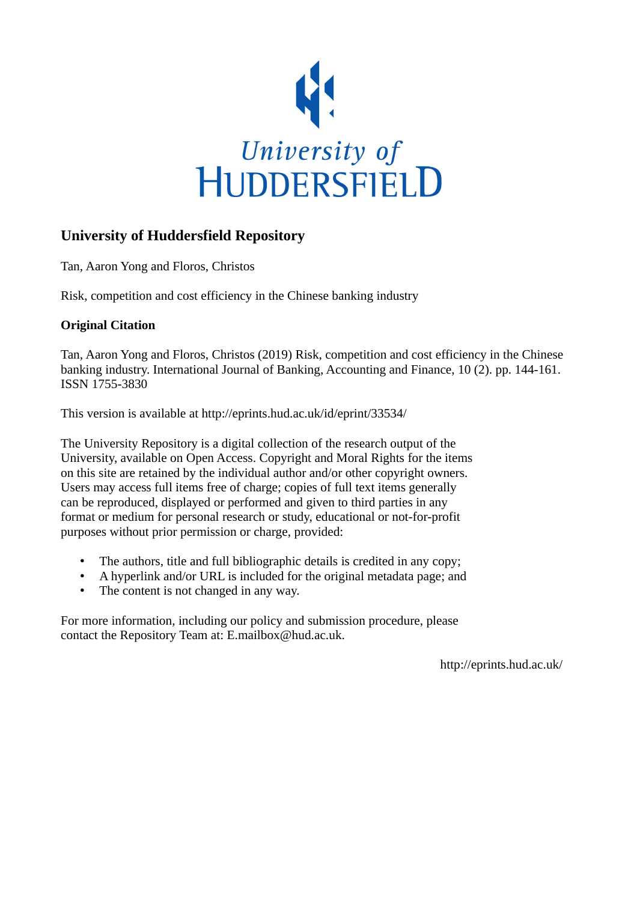

## **University of Huddersfield Repository**

Tan, Aaron Yong and Floros, Christos

Risk, competition and cost efficiency in the Chinese banking industry

### **Original Citation**

Tan, Aaron Yong and Floros, Christos (2019) Risk, competition and cost efficiency in the Chinese banking industry. International Journal of Banking, Accounting and Finance, 10 (2). pp. 144-161. ISSN 1755-3830

This version is available at http://eprints.hud.ac.uk/id/eprint/33534/

The University Repository is a digital collection of the research output of the University, available on Open Access. Copyright and Moral Rights for the items on this site are retained by the individual author and/or other copyright owners. Users may access full items free of charge; copies of full text items generally can be reproduced, displayed or performed and given to third parties in any format or medium for personal research or study, educational or not-for-profit purposes without prior permission or charge, provided:

- The authors, title and full bibliographic details is credited in any copy;
- A hyperlink and/or URL is included for the original metadata page; and
- The content is not changed in any way.

For more information, including our policy and submission procedure, please contact the Repository Team at: E.mailbox@hud.ac.uk.

http://eprints.hud.ac.uk/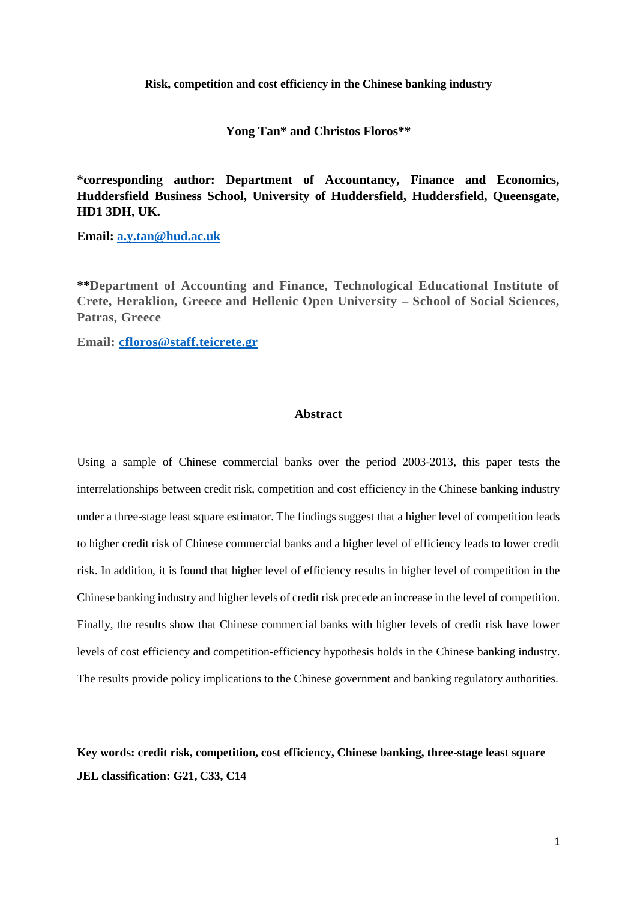**Risk, competition and cost efficiency in the Chinese banking industry**

#### **Yong Tan\* and Christos Floros\*\***

**\*corresponding author: Department of Accountancy, Finance and Economics, Huddersfield Business School, University of Huddersfield, Huddersfield, Queensgate, HD1 3DH, UK.** 

**Email: [a.y.tan@hud.ac.uk](mailto:a.y.tan@hud.ac.uk)**

**\*\*Department of Accounting and Finance, Technological Educational Institute of Crete, Heraklion, Greece and Hellenic Open University – School of Social Sciences, Patras, Greece**

**Email: [cfloros@staff.teicrete.gr](mailto:cfloros@staff.teicrete.gr)**

#### **Abstract**

Using a sample of Chinese commercial banks over the period 2003-2013, this paper tests the interrelationships between credit risk, competition and cost efficiency in the Chinese banking industry under a three-stage least square estimator. The findings suggest that a higher level of competition leads to higher credit risk of Chinese commercial banks and a higher level of efficiency leads to lower credit risk. In addition, it is found that higher level of efficiency results in higher level of competition in the Chinese banking industry and higher levels of credit risk precede an increase in the level of competition. Finally, the results show that Chinese commercial banks with higher levels of credit risk have lower levels of cost efficiency and competition-efficiency hypothesis holds in the Chinese banking industry. The results provide policy implications to the Chinese government and banking regulatory authorities.

**Key words: credit risk, competition, cost efficiency, Chinese banking, three-stage least square JEL classification: G21, C33, C14**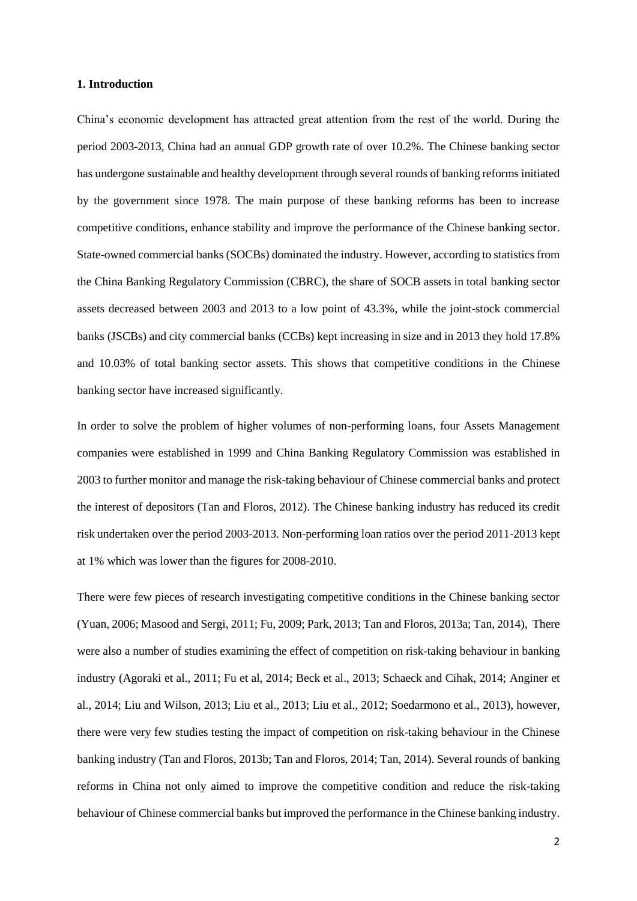#### **1. Introduction**

China's economic development has attracted great attention from the rest of the world. During the period 2003-2013, China had an annual GDP growth rate of over 10.2%. The Chinese banking sector has undergone sustainable and healthy development through several rounds of banking reforms initiated by the government since 1978. The main purpose of these banking reforms has been to increase competitive conditions, enhance stability and improve the performance of the Chinese banking sector. State-owned commercial banks (SOCBs) dominated the industry. However, according to statistics from the China Banking Regulatory Commission (CBRC), the share of SOCB assets in total banking sector assets decreased between 2003 and 2013 to a low point of 43.3%, while the joint-stock commercial banks (JSCBs) and city commercial banks (CCBs) kept increasing in size and in 2013 they hold 17.8% and 10.03% of total banking sector assets. This shows that competitive conditions in the Chinese banking sector have increased significantly.

In order to solve the problem of higher volumes of non-performing loans, four Assets Management companies were established in 1999 and China Banking Regulatory Commission was established in 2003 to further monitor and manage the risk-taking behaviour of Chinese commercial banks and protect the interest of depositors (Tan and Floros, 2012). The Chinese banking industry has reduced its credit risk undertaken over the period 2003-2013. Non-performing loan ratios over the period 2011-2013 kept at 1% which was lower than the figures for 2008-2010.

There were few pieces of research investigating competitive conditions in the Chinese banking sector (Yuan, 2006; Masood and Sergi, 2011; Fu, 2009; Park, 2013; Tan and Floros, 2013a; Tan, 2014), There were also a number of studies examining the effect of competition on risk-taking behaviour in banking industry (Agoraki et al., 2011; Fu et al, 2014; Beck et al., 2013; Schaeck and Cihak, 2014; Anginer et al., 2014; Liu and Wilson, 2013; Liu et al., 2013; Liu et al., 2012; Soedarmono et al., 2013), however, there were very few studies testing the impact of competition on risk-taking behaviour in the Chinese banking industry (Tan and Floros, 2013b; Tan and Floros, 2014; Tan, 2014). Several rounds of banking reforms in China not only aimed to improve the competitive condition and reduce the risk-taking behaviour of Chinese commercial banks but improved the performance in the Chinese banking industry.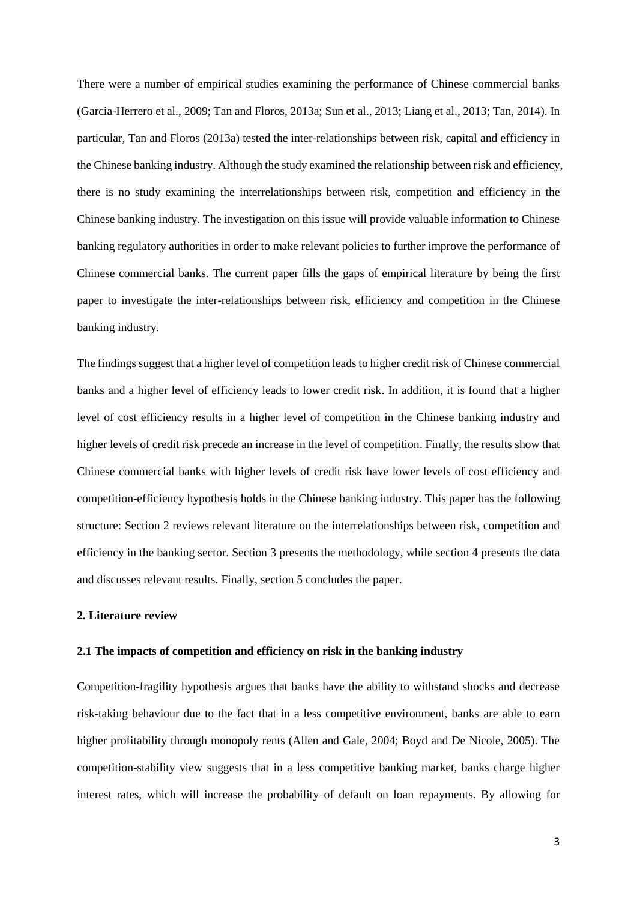There were a number of empirical studies examining the performance of Chinese commercial banks (Garcia-Herrero et al., 2009; Tan and Floros, 2013a; Sun et al., 2013; Liang et al., 2013; Tan, 2014). In particular, Tan and Floros (2013a) tested the inter-relationships between risk, capital and efficiency in the Chinese banking industry. Although the study examined the relationship between risk and efficiency, there is no study examining the interrelationships between risk, competition and efficiency in the Chinese banking industry. The investigation on this issue will provide valuable information to Chinese banking regulatory authorities in order to make relevant policies to further improve the performance of Chinese commercial banks. The current paper fills the gaps of empirical literature by being the first paper to investigate the inter-relationships between risk, efficiency and competition in the Chinese banking industry.

The findings suggest that a higher level of competition leads to higher credit risk of Chinese commercial banks and a higher level of efficiency leads to lower credit risk. In addition, it is found that a higher level of cost efficiency results in a higher level of competition in the Chinese banking industry and higher levels of credit risk precede an increase in the level of competition. Finally, the results show that Chinese commercial banks with higher levels of credit risk have lower levels of cost efficiency and competition-efficiency hypothesis holds in the Chinese banking industry. This paper has the following structure: Section 2 reviews relevant literature on the interrelationships between risk, competition and efficiency in the banking sector. Section 3 presents the methodology, while section 4 presents the data and discusses relevant results. Finally, section 5 concludes the paper.

#### **2. Literature review**

#### **2.1 The impacts of competition and efficiency on risk in the banking industry**

Competition-fragility hypothesis argues that banks have the ability to withstand shocks and decrease risk-taking behaviour due to the fact that in a less competitive environment, banks are able to earn higher profitability through monopoly rents (Allen and Gale, 2004; Boyd and De Nicole, 2005). The competition-stability view suggests that in a less competitive banking market, banks charge higher interest rates, which will increase the probability of default on loan repayments. By allowing for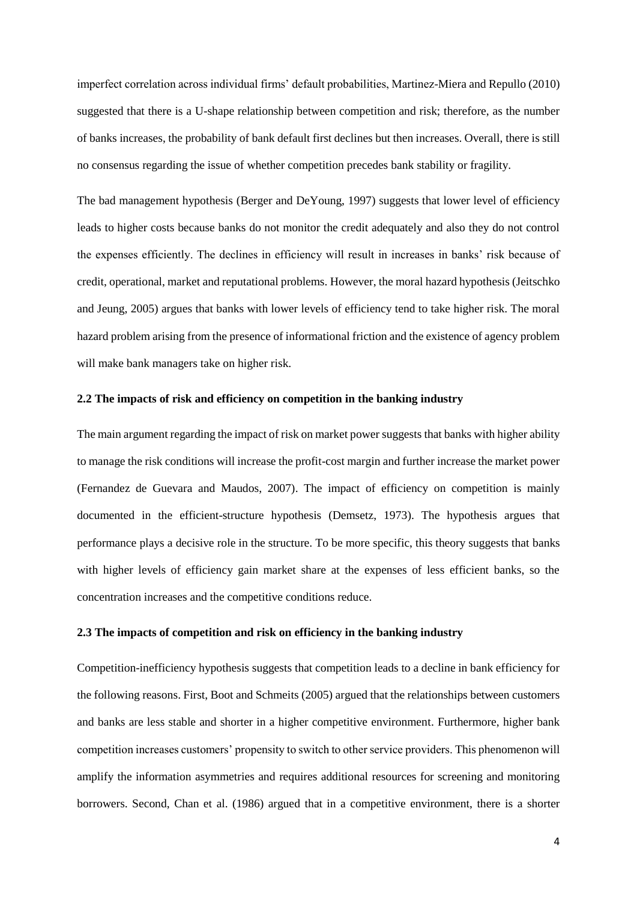imperfect correlation across individual firms' default probabilities, Martinez-Miera and Repullo (2010) suggested that there is a U-shape relationship between competition and risk; therefore, as the number of banks increases, the probability of bank default first declines but then increases. Overall, there is still no consensus regarding the issue of whether competition precedes bank stability or fragility.

The bad management hypothesis (Berger and DeYoung, 1997) suggests that lower level of efficiency leads to higher costs because banks do not monitor the credit adequately and also they do not control the expenses efficiently. The declines in efficiency will result in increases in banks' risk because of credit, operational, market and reputational problems. However, the moral hazard hypothesis (Jeitschko and Jeung, 2005) argues that banks with lower levels of efficiency tend to take higher risk. The moral hazard problem arising from the presence of informational friction and the existence of agency problem will make bank managers take on higher risk.

#### **2.2 The impacts of risk and efficiency on competition in the banking industry**

The main argument regarding the impact of risk on market power suggests that banks with higher ability to manage the risk conditions will increase the profit-cost margin and further increase the market power (Fernandez de Guevara and Maudos, 2007). The impact of efficiency on competition is mainly documented in the efficient-structure hypothesis (Demsetz, 1973). The hypothesis argues that performance plays a decisive role in the structure. To be more specific, this theory suggests that banks with higher levels of efficiency gain market share at the expenses of less efficient banks, so the concentration increases and the competitive conditions reduce.

#### **2.3 The impacts of competition and risk on efficiency in the banking industry**

Competition-inefficiency hypothesis suggests that competition leads to a decline in bank efficiency for the following reasons. First, Boot and Schmeits (2005) argued that the relationships between customers and banks are less stable and shorter in a higher competitive environment. Furthermore, higher bank competition increases customers' propensity to switch to other service providers. This phenomenon will amplify the information asymmetries and requires additional resources for screening and monitoring borrowers. Second, Chan et al. (1986) argued that in a competitive environment, there is a shorter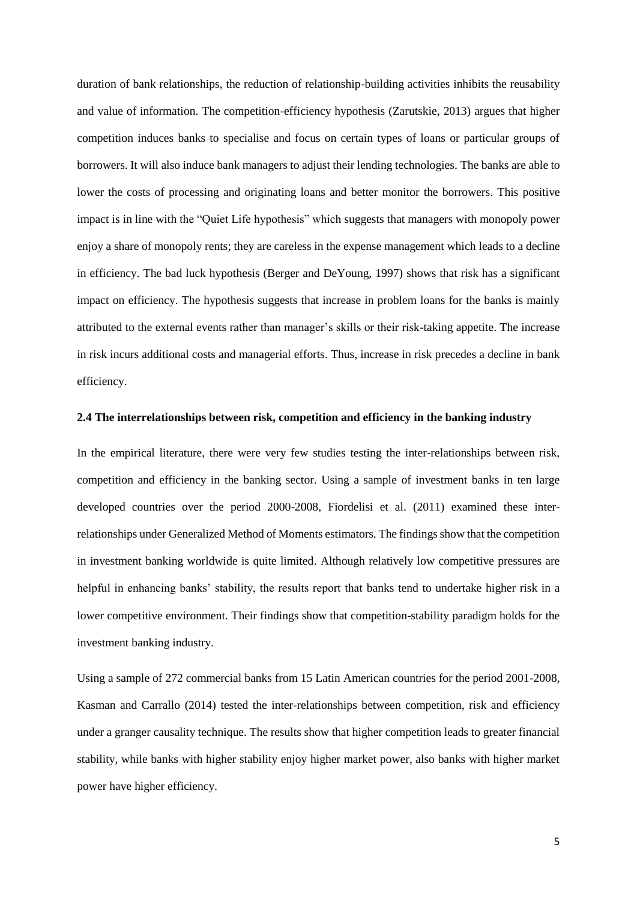duration of bank relationships, the reduction of relationship-building activities inhibits the reusability and value of information. The competition-efficiency hypothesis (Zarutskie, 2013) argues that higher competition induces banks to specialise and focus on certain types of loans or particular groups of borrowers. It will also induce bank managers to adjust their lending technologies. The banks are able to lower the costs of processing and originating loans and better monitor the borrowers. This positive impact is in line with the "Quiet Life hypothesis" which suggests that managers with monopoly power enjoy a share of monopoly rents; they are careless in the expense management which leads to a decline in efficiency. The bad luck hypothesis (Berger and DeYoung, 1997) shows that risk has a significant impact on efficiency. The hypothesis suggests that increase in problem loans for the banks is mainly attributed to the external events rather than manager's skills or their risk-taking appetite. The increase in risk incurs additional costs and managerial efforts. Thus, increase in risk precedes a decline in bank efficiency.

#### **2.4 The interrelationships between risk, competition and efficiency in the banking industry**

In the empirical literature, there were very few studies testing the inter-relationships between risk, competition and efficiency in the banking sector. Using a sample of investment banks in ten large developed countries over the period 2000-2008, Fiordelisi et al. (2011) examined these interrelationships under Generalized Method of Moments estimators. The findings show that the competition in investment banking worldwide is quite limited. Although relatively low competitive pressures are helpful in enhancing banks' stability, the results report that banks tend to undertake higher risk in a lower competitive environment. Their findings show that competition-stability paradigm holds for the investment banking industry.

Using a sample of 272 commercial banks from 15 Latin American countries for the period 2001-2008, Kasman and Carrallo (2014) tested the inter-relationships between competition, risk and efficiency under a granger causality technique. The results show that higher competition leads to greater financial stability, while banks with higher stability enjoy higher market power, also banks with higher market power have higher efficiency.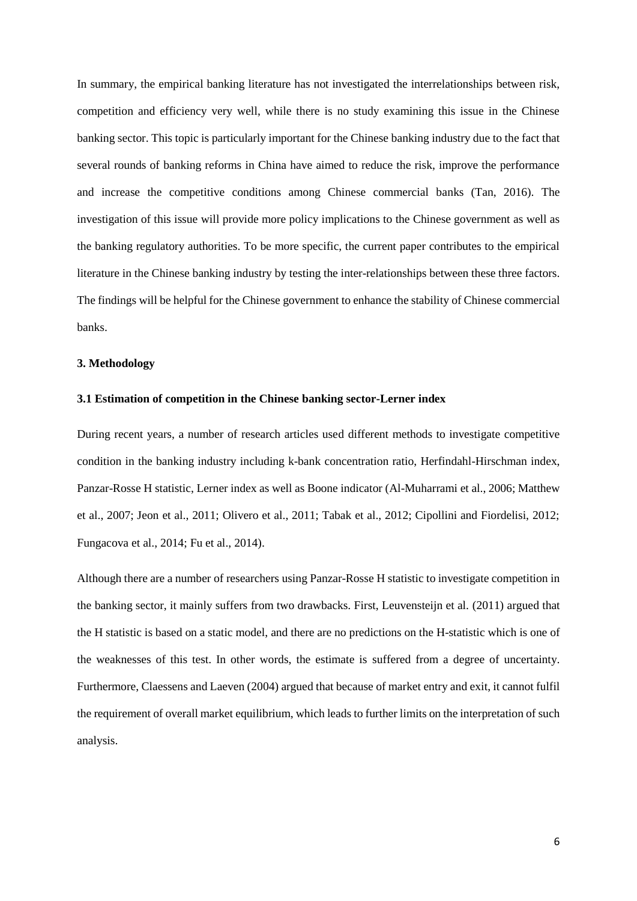In summary, the empirical banking literature has not investigated the interrelationships between risk, competition and efficiency very well, while there is no study examining this issue in the Chinese banking sector. This topic is particularly important for the Chinese banking industry due to the fact that several rounds of banking reforms in China have aimed to reduce the risk, improve the performance and increase the competitive conditions among Chinese commercial banks (Tan, 2016). The investigation of this issue will provide more policy implications to the Chinese government as well as the banking regulatory authorities. To be more specific, the current paper contributes to the empirical literature in the Chinese banking industry by testing the inter-relationships between these three factors. The findings will be helpful for the Chinese government to enhance the stability of Chinese commercial banks.

#### **3. Methodology**

#### **3.1 Estimation of competition in the Chinese banking sector-Lerner index**

During recent years, a number of research articles used different methods to investigate competitive condition in the banking industry including k-bank concentration ratio, Herfindahl-Hirschman index, Panzar-Rosse H statistic, Lerner index as well as Boone indicator (Al-Muharrami et al., 2006; Matthew et al., 2007; Jeon et al., 2011; Olivero et al., 2011; Tabak et al., 2012; Cipollini and Fiordelisi, 2012; Fungacova et al., 2014; Fu et al., 2014).

Although there are a number of researchers using Panzar-Rosse H statistic to investigate competition in the banking sector, it mainly suffers from two drawbacks. First, Leuvensteijn et al. (2011) argued that the H statistic is based on a static model, and there are no predictions on the H-statistic which is one of the weaknesses of this test. In other words, the estimate is suffered from a degree of uncertainty. Furthermore, Claessens and Laeven (2004) argued that because of market entry and exit, it cannot fulfil the requirement of overall market equilibrium, which leads to further limits on the interpretation of such analysis.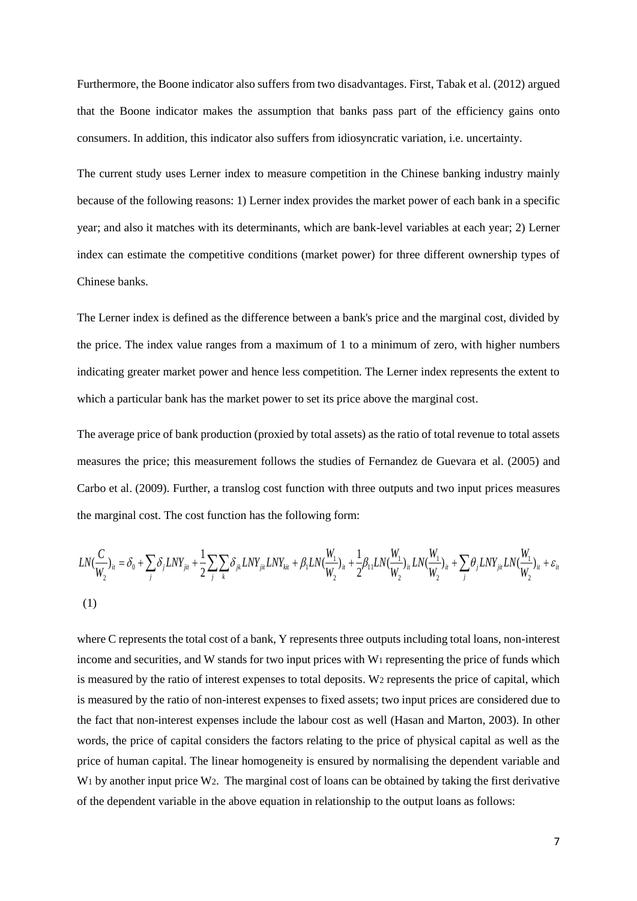Furthermore, the Boone indicator also suffers from two disadvantages. First, Tabak et al. (2012) argued that the Boone indicator makes the assumption that banks pass part of the efficiency gains onto consumers. In addition, this indicator also suffers from idiosyncratic variation, i.e. uncertainty.

The current study uses Lerner index to measure competition in the Chinese banking industry mainly because of the following reasons: 1) Lerner index provides the market power of each bank in a specific year; and also it matches with its determinants, which are bank-level variables at each year; 2) Lerner index can estimate the competitive conditions (market power) for three different ownership types of Chinese banks.

The Lerner index is defined as the difference between a bank's price and the marginal cost, divided by the price. The index value ranges from a maximum of 1 to a minimum of zero, with higher numbers indicating greater market power and hence less competition. The Lerner index represents the extent to which a particular bank has the market power to set its price above the marginal cost.

The average price of bank production (proxied by total assets) as the ratio of total revenue to total assets measures the price; this measurement follows the studies of Fernandez de Guevara et al. (2005) and Carbo et al. (2009). Further, a translog cost function with three outputs and two input prices measures the marginal cost. The cost function has the following form:

$$
LN(\frac{C}{W_2})_i = \delta_0 + \sum_j \delta_j LNY_{ji} + \frac{1}{2} \sum_j \sum_k \delta_{jk} LNY_{ji} LNY_{ki} + \beta_1 LN(\frac{W_1}{W_2})_i + \frac{1}{2} \beta_{11} LN(\frac{W_1}{W_2})_{ii} LN(\frac{W_1}{W_2})_i + \sum_j \theta_j LNY_{ji} LN(\frac{W_1}{W_2})_i + \varepsilon_i
$$
\n(1)

where C represents the total cost of a bank, Y represents three outputs including total loans, non-interest income and securities, and W stands for two input prices with W<sub>1</sub> representing the price of funds which is measured by the ratio of interest expenses to total deposits. W2 represents the price of capital, which is measured by the ratio of non-interest expenses to fixed assets; two input prices are considered due to the fact that non-interest expenses include the labour cost as well (Hasan and Marton, 2003). In other words, the price of capital considers the factors relating to the price of physical capital as well as the price of human capital. The linear homogeneity is ensured by normalising the dependent variable and W<sub>1</sub> by another input price W<sub>2</sub>. The marginal cost of loans can be obtained by taking the first derivative of the dependent variable in the above equation in relationship to the output loans as follows: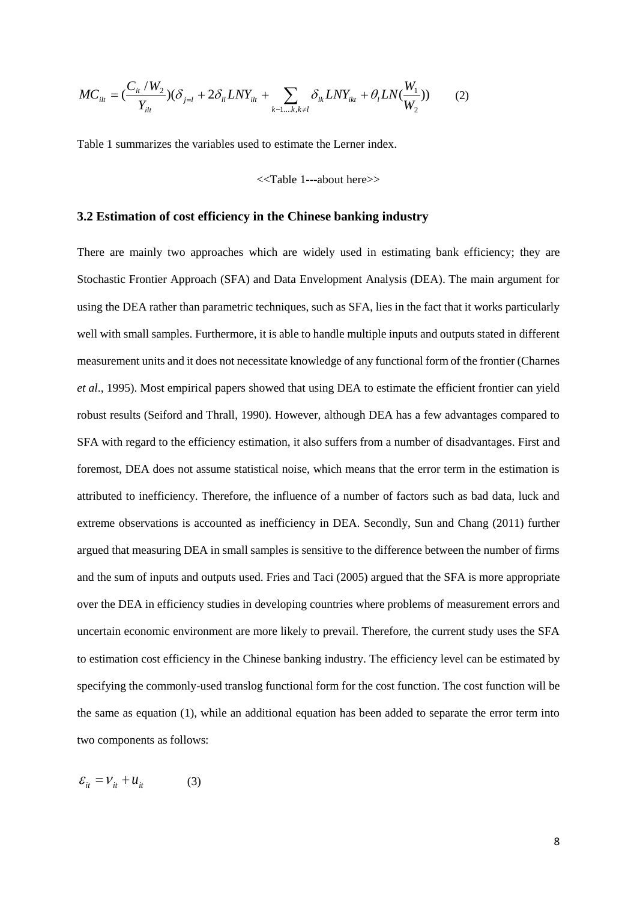$$
MC_{it} = \left(\frac{C_{it}/W_2}{Y_{it}}\right)(\delta_{j=l} + 2\delta_{lt} LNY_{it} + \sum_{k=1...k, k \neq l} \delta_{lk} LNY_{ikt} + \theta_l LN(\frac{W_1}{W_2})\right)
$$
(2)

Table 1 summarizes the variables used to estimate the Lerner index.

<<Table 1---about here>>

#### **3.2 Estimation of cost efficiency in the Chinese banking industry**

There are mainly two approaches which are widely used in estimating bank efficiency; they are Stochastic Frontier Approach (SFA) and Data Envelopment Analysis (DEA). The main argument for using the DEA rather than parametric techniques, such as SFA, lies in the fact that it works particularly well with small samples. Furthermore, it is able to handle multiple inputs and outputs stated in different measurement units and it does not necessitate knowledge of any functional form of the frontier (Charnes *et al*., 1995). Most empirical papers showed that using DEA to estimate the efficient frontier can yield robust results (Seiford and Thrall, 1990). However, although DEA has a few advantages compared to SFA with regard to the efficiency estimation, it also suffers from a number of disadvantages. First and foremost, DEA does not assume statistical noise, which means that the error term in the estimation is attributed to inefficiency. Therefore, the influence of a number of factors such as bad data, luck and extreme observations is accounted as inefficiency in DEA. Secondly, Sun and Chang (2011) further argued that measuring DEA in small samples is sensitive to the difference between the number of firms and the sum of inputs and outputs used. Fries and Taci (2005) argued that the SFA is more appropriate over the DEA in efficiency studies in developing countries where problems of measurement errors and uncertain economic environment are more likely to prevail. Therefore, the current study uses the SFA to estimation cost efficiency in the Chinese banking industry. The efficiency level can be estimated by specifying the commonly-used translog functional form for the cost function. The cost function will be the same as equation (1), while an additional equation has been added to separate the error term into two components as follows:

$$
\mathcal{E}_{it} = V_{it} + u_{it} \tag{3}
$$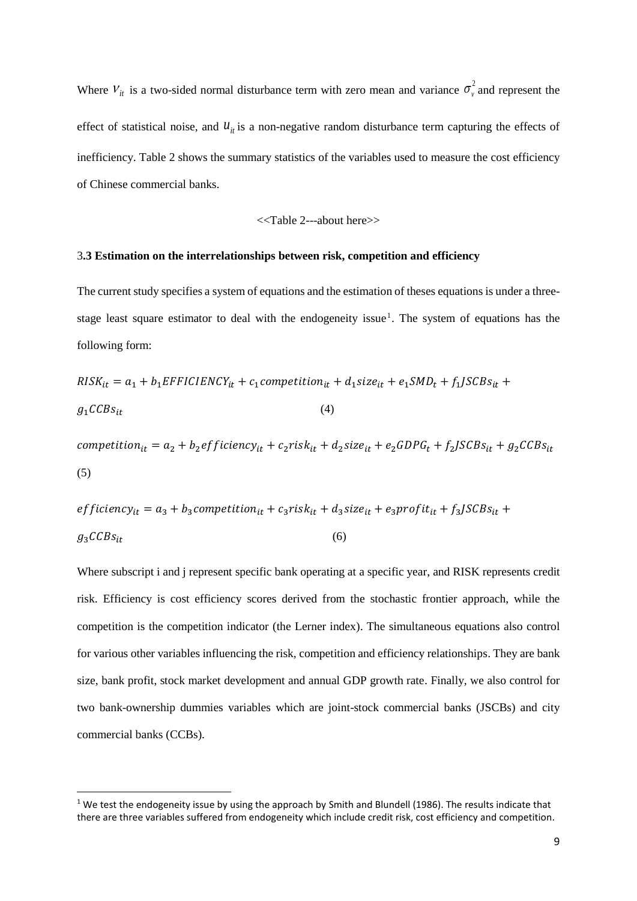Where  $V_{it}$  is a two-sided normal disturbance term with zero mean and variance  $\sigma_{v}^{2}$  and represent the effect of statistical noise, and  $u_{it}$  is a non-negative random disturbance term capturing the effects of inefficiency. Table 2 shows the summary statistics of the variables used to measure the cost efficiency of Chinese commercial banks.

<<Table 2---about here>>

#### 3**.3 Estimation on the interrelationships between risk, competition and efficiency**

The current study specifies a system of equations and the estimation of theses equations is under a threestage least square estimator to deal with the endogeneity issue<sup>1</sup>. The system of equations has the following form:

$$
RISK_{it} = a_1 + b_1 EFFICIENT_{it} + c_1 competition_{it} + d_1 size_{it} + e_1 SMP_t + f_1 JSCBS_{it} +g_1 CCBs_{it}
$$
 (4)

competition<sub>it</sub> =  $a_2 + b_2$  efficiency<sub>it</sub> + c<sub>2</sub>risk<sub>it</sub> + d<sub>2</sub>size<sub>it</sub> + e<sub>2</sub>GDPG<sub>t</sub> + f<sub>2</sub>JSCBs<sub>it</sub> + g<sub>2</sub>CCBs<sub>it</sub> (5)

 $efficiency_{it} = a_3 + b_3 competition_{it} + c_3risk_{it} + d_3size_{it} + e_3profit_{it} + f_3JSCBs_{it} +$  $g_3CCBS_{it}$  (6)

Where subscript i and j represent specific bank operating at a specific year, and RISK represents credit risk. Efficiency is cost efficiency scores derived from the stochastic frontier approach, while the competition is the competition indicator (the Lerner index). The simultaneous equations also control for various other variables influencing the risk, competition and efficiency relationships. They are bank size, bank profit, stock market development and annual GDP growth rate. Finally, we also control for two bank-ownership dummies variables which are joint-stock commercial banks (JSCBs) and city commercial banks (CCBs).

**.** 

<sup>&</sup>lt;sup>1</sup> We test the endogeneity issue by using the approach by Smith and Blundell (1986). The results indicate that there are three variables suffered from endogeneity which include credit risk, cost efficiency and competition.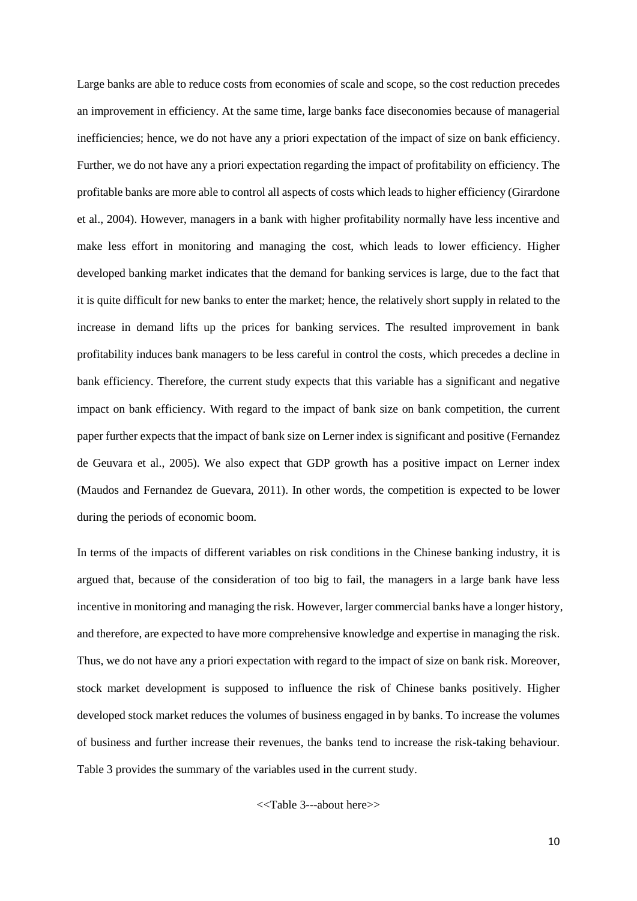Large banks are able to reduce costs from economies of scale and scope, so the cost reduction precedes an improvement in efficiency. At the same time, large banks face diseconomies because of managerial inefficiencies; hence, we do not have any a priori expectation of the impact of size on bank efficiency. Further, we do not have any a priori expectation regarding the impact of profitability on efficiency. The profitable banks are more able to control all aspects of costs which leads to higher efficiency (Girardone et al., 2004). However, managers in a bank with higher profitability normally have less incentive and make less effort in monitoring and managing the cost, which leads to lower efficiency. Higher developed banking market indicates that the demand for banking services is large, due to the fact that it is quite difficult for new banks to enter the market; hence, the relatively short supply in related to the increase in demand lifts up the prices for banking services. The resulted improvement in bank profitability induces bank managers to be less careful in control the costs, which precedes a decline in bank efficiency. Therefore, the current study expects that this variable has a significant and negative impact on bank efficiency. With regard to the impact of bank size on bank competition, the current paper further expects that the impact of bank size on Lerner index is significant and positive (Fernandez de Geuvara et al., 2005). We also expect that GDP growth has a positive impact on Lerner index (Maudos and Fernandez de Guevara, 2011). In other words, the competition is expected to be lower during the periods of economic boom.

In terms of the impacts of different variables on risk conditions in the Chinese banking industry, it is argued that, because of the consideration of too big to fail, the managers in a large bank have less incentive in monitoring and managing the risk. However, larger commercial banks have a longer history, and therefore, are expected to have more comprehensive knowledge and expertise in managing the risk. Thus, we do not have any a priori expectation with regard to the impact of size on bank risk. Moreover, stock market development is supposed to influence the risk of Chinese banks positively. Higher developed stock market reduces the volumes of business engaged in by banks. To increase the volumes of business and further increase their revenues, the banks tend to increase the risk-taking behaviour. Table 3 provides the summary of the variables used in the current study.

<<Table 3---about here>>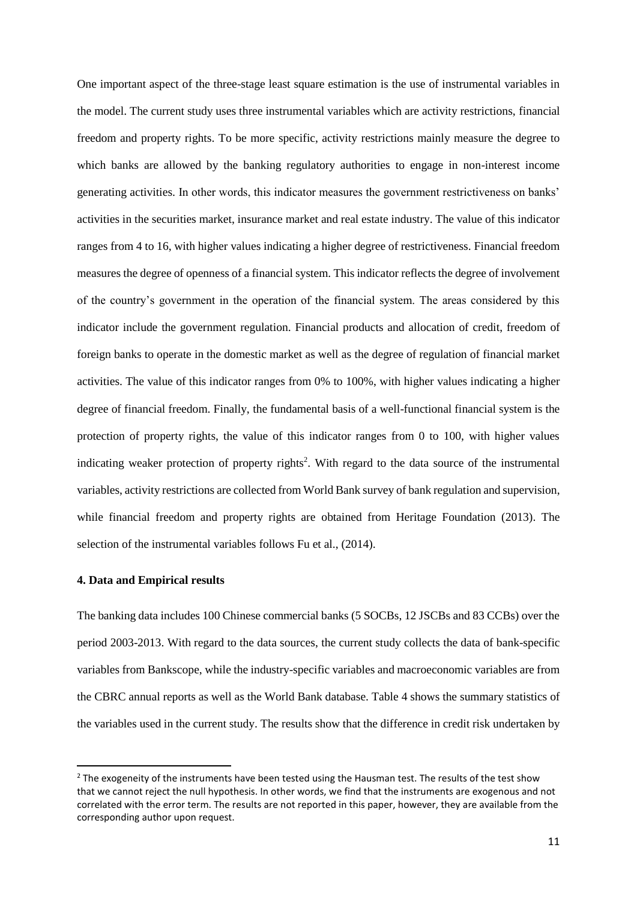One important aspect of the three-stage least square estimation is the use of instrumental variables in the model. The current study uses three instrumental variables which are activity restrictions, financial freedom and property rights. To be more specific, activity restrictions mainly measure the degree to which banks are allowed by the banking regulatory authorities to engage in non-interest income generating activities. In other words, this indicator measures the government restrictiveness on banks' activities in the securities market, insurance market and real estate industry. The value of this indicator ranges from 4 to 16, with higher values indicating a higher degree of restrictiveness. Financial freedom measures the degree of openness of a financial system. This indicator reflects the degree of involvement of the country's government in the operation of the financial system. The areas considered by this indicator include the government regulation. Financial products and allocation of credit, freedom of foreign banks to operate in the domestic market as well as the degree of regulation of financial market activities. The value of this indicator ranges from 0% to 100%, with higher values indicating a higher degree of financial freedom. Finally, the fundamental basis of a well-functional financial system is the protection of property rights, the value of this indicator ranges from 0 to 100, with higher values indicating weaker protection of property rights<sup>2</sup>. With regard to the data source of the instrumental variables, activity restrictions are collected from World Bank survey of bank regulation and supervision, while financial freedom and property rights are obtained from Heritage Foundation (2013). The selection of the instrumental variables follows Fu et al., (2014).

#### **4. Data and Empirical results**

**.** 

The banking data includes 100 Chinese commercial banks (5 SOCBs, 12 JSCBs and 83 CCBs) over the period 2003-2013. With regard to the data sources, the current study collects the data of bank-specific variables from Bankscope, while the industry-specific variables and macroeconomic variables are from the CBRC annual reports as well as the World Bank database. Table 4 shows the summary statistics of the variables used in the current study. The results show that the difference in credit risk undertaken by

<sup>&</sup>lt;sup>2</sup> The exogeneity of the instruments have been tested using the Hausman test. The results of the test show that we cannot reject the null hypothesis. In other words, we find that the instruments are exogenous and not correlated with the error term. The results are not reported in this paper, however, they are available from the corresponding author upon request.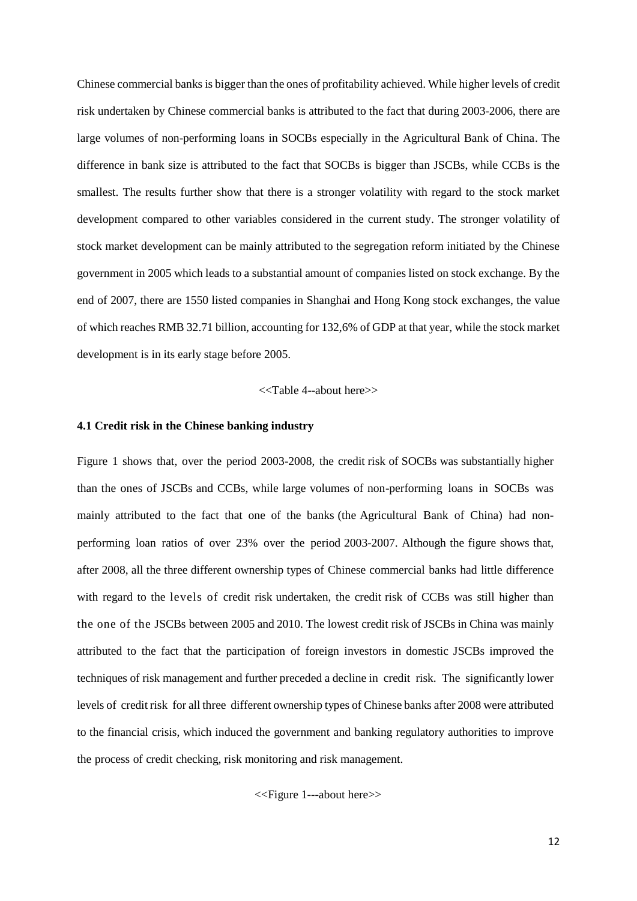Chinese commercial banks is bigger than the ones of profitability achieved. While higher levels of credit risk undertaken by Chinese commercial banks is attributed to the fact that during 2003-2006, there are large volumes of non-performing loans in SOCBs especially in the Agricultural Bank of China. The difference in bank size is attributed to the fact that SOCBs is bigger than JSCBs, while CCBs is the smallest. The results further show that there is a stronger volatility with regard to the stock market development compared to other variables considered in the current study. The stronger volatility of stock market development can be mainly attributed to the segregation reform initiated by the Chinese government in 2005 which leads to a substantial amount of companies listed on stock exchange. By the end of 2007, there are 1550 listed companies in Shanghai and Hong Kong stock exchanges, the value of which reaches RMB 32.71 billion, accounting for 132,6% of GDP at that year, while the stock market development is in its early stage before 2005.

#### <<Table 4--about here>>

#### **4.1 Credit risk in the Chinese banking industry**

Figure 1 shows that, over the period 2003-2008, the credit risk of SOCBs was substantially higher than the ones of JSCBs and CCBs, while large volumes of non-performing loans in SOCBs was mainly attributed to the fact that one of the banks (the Agricultural Bank of China) had nonperforming loan ratios of over 23% over the period 2003-2007. Although the figure shows that, after 2008, all the three different ownership types of Chinese commercial banks had little difference with regard to the levels of credit risk undertaken, the credit risk of CCBs was still higher than the one of the JSCBs between 2005 and 2010. The lowest credit risk of JSCBs in China was mainly attributed to the fact that the participation of foreign investors in domestic JSCBs improved the techniques of risk management and further preceded a decline in credit risk. The significantly lower levels of credit risk for all three different ownership types of Chinese banks after 2008 were attributed to the financial crisis, which induced the government and banking regulatory authorities to improve the process of credit checking, risk monitoring and risk management.

<<Figure 1---about here>>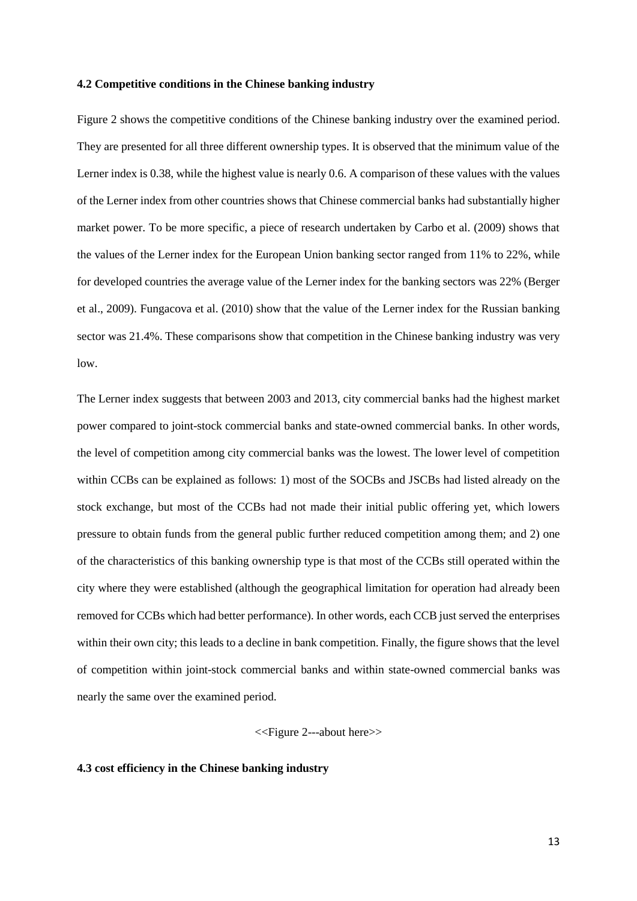#### **4.2 Competitive conditions in the Chinese banking industry**

Figure 2 shows the competitive conditions of the Chinese banking industry over the examined period. They are presented for all three different ownership types. It is observed that the minimum value of the Lerner index is 0.38, while the highest value is nearly 0.6. A comparison of these values with the values of the Lerner index from other countries shows that Chinese commercial banks had substantially higher market power. To be more specific, a piece of research undertaken by Carbo et al. (2009) shows that the values of the Lerner index for the European Union banking sector ranged from 11% to 22%, while for developed countries the average value of the Lerner index for the banking sectors was 22% (Berger et al., 2009). Fungacova et al. (2010) show that the value of the Lerner index for the Russian banking sector was 21.4%. These comparisons show that competition in the Chinese banking industry was very low.

The Lerner index suggests that between 2003 and 2013, city commercial banks had the highest market power compared to joint-stock commercial banks and state-owned commercial banks. In other words, the level of competition among city commercial banks was the lowest. The lower level of competition within CCBs can be explained as follows: 1) most of the SOCBs and JSCBs had listed already on the stock exchange, but most of the CCBs had not made their initial public offering yet, which lowers pressure to obtain funds from the general public further reduced competition among them; and 2) one of the characteristics of this banking ownership type is that most of the CCBs still operated within the city where they were established (although the geographical limitation for operation had already been removed for CCBs which had better performance). In other words, each CCB just served the enterprises within their own city; this leads to a decline in bank competition. Finally, the figure shows that the level of competition within joint-stock commercial banks and within state-owned commercial banks was nearly the same over the examined period.

#### <<Figure 2---about here>>

#### **4.3 cost efficiency in the Chinese banking industry**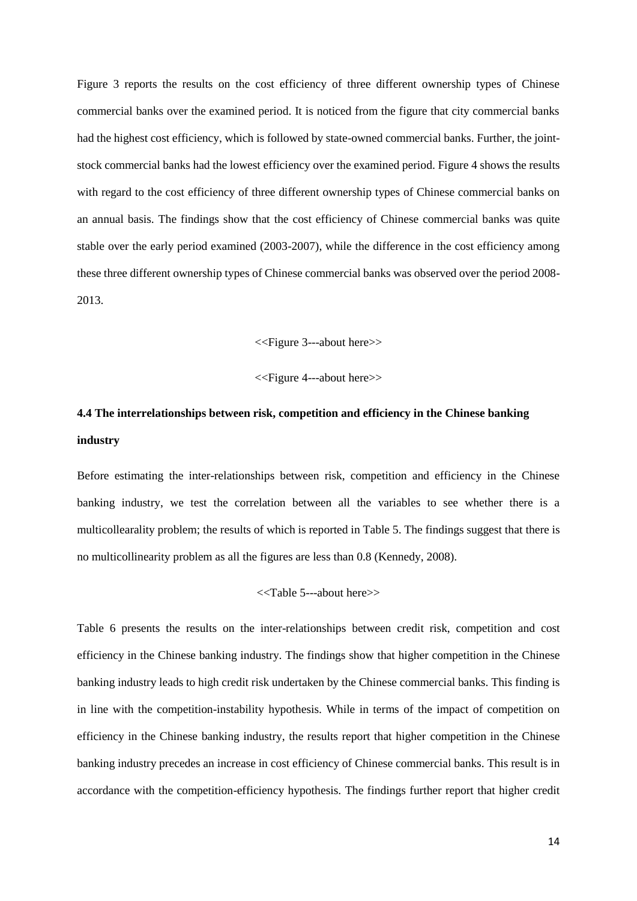Figure 3 reports the results on the cost efficiency of three different ownership types of Chinese commercial banks over the examined period. It is noticed from the figure that city commercial banks had the highest cost efficiency, which is followed by state-owned commercial banks. Further, the jointstock commercial banks had the lowest efficiency over the examined period. Figure 4 shows the results with regard to the cost efficiency of three different ownership types of Chinese commercial banks on an annual basis. The findings show that the cost efficiency of Chinese commercial banks was quite stable over the early period examined (2003-2007), while the difference in the cost efficiency among these three different ownership types of Chinese commercial banks was observed over the period 2008- 2013.

#### <<Figure 3---about here>>

<<Figure 4---about here>>

# **4.4 The interrelationships between risk, competition and efficiency in the Chinese banking industry**

Before estimating the inter-relationships between risk, competition and efficiency in the Chinese banking industry, we test the correlation between all the variables to see whether there is a multicollearality problem; the results of which is reported in Table 5. The findings suggest that there is no multicollinearity problem as all the figures are less than 0.8 (Kennedy, 2008).

#### <<Table 5---about here>>

Table 6 presents the results on the inter-relationships between credit risk, competition and cost efficiency in the Chinese banking industry. The findings show that higher competition in the Chinese banking industry leads to high credit risk undertaken by the Chinese commercial banks. This finding is in line with the competition-instability hypothesis. While in terms of the impact of competition on efficiency in the Chinese banking industry, the results report that higher competition in the Chinese banking industry precedes an increase in cost efficiency of Chinese commercial banks. This result is in accordance with the competition-efficiency hypothesis. The findings further report that higher credit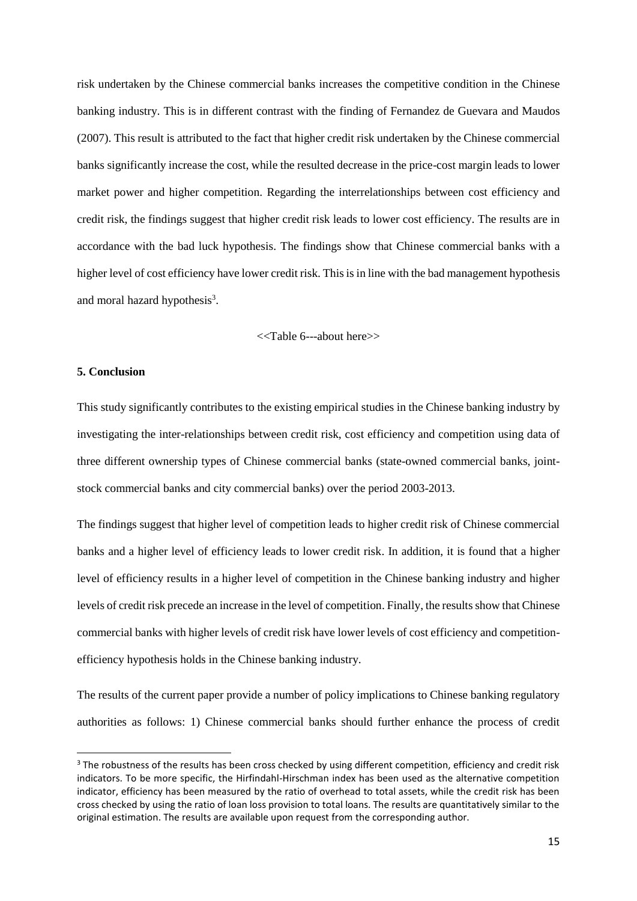risk undertaken by the Chinese commercial banks increases the competitive condition in the Chinese banking industry. This is in different contrast with the finding of Fernandez de Guevara and Maudos (2007). This result is attributed to the fact that higher credit risk undertaken by the Chinese commercial banks significantly increase the cost, while the resulted decrease in the price-cost margin leads to lower market power and higher competition. Regarding the interrelationships between cost efficiency and credit risk, the findings suggest that higher credit risk leads to lower cost efficiency. The results are in accordance with the bad luck hypothesis. The findings show that Chinese commercial banks with a higher level of cost efficiency have lower credit risk. This is in line with the bad management hypothesis and moral hazard hypothesis<sup>3</sup>.

#### <<Table 6---about here>>

#### **5. Conclusion**

 $\overline{a}$ 

This study significantly contributes to the existing empirical studies in the Chinese banking industry by investigating the inter-relationships between credit risk, cost efficiency and competition using data of three different ownership types of Chinese commercial banks (state-owned commercial banks, jointstock commercial banks and city commercial banks) over the period 2003-2013.

The findings suggest that higher level of competition leads to higher credit risk of Chinese commercial banks and a higher level of efficiency leads to lower credit risk. In addition, it is found that a higher level of efficiency results in a higher level of competition in the Chinese banking industry and higher levels of credit risk precede an increase in the level of competition. Finally, the results show that Chinese commercial banks with higher levels of credit risk have lower levels of cost efficiency and competitionefficiency hypothesis holds in the Chinese banking industry.

The results of the current paper provide a number of policy implications to Chinese banking regulatory authorities as follows: 1) Chinese commercial banks should further enhance the process of credit

<sup>&</sup>lt;sup>3</sup> The robustness of the results has been cross checked by using different competition, efficiency and credit risk indicators. To be more specific, the Hirfindahl-Hirschman index has been used as the alternative competition indicator, efficiency has been measured by the ratio of overhead to total assets, while the credit risk has been cross checked by using the ratio of loan loss provision to total loans. The results are quantitatively similar to the original estimation. The results are available upon request from the corresponding author.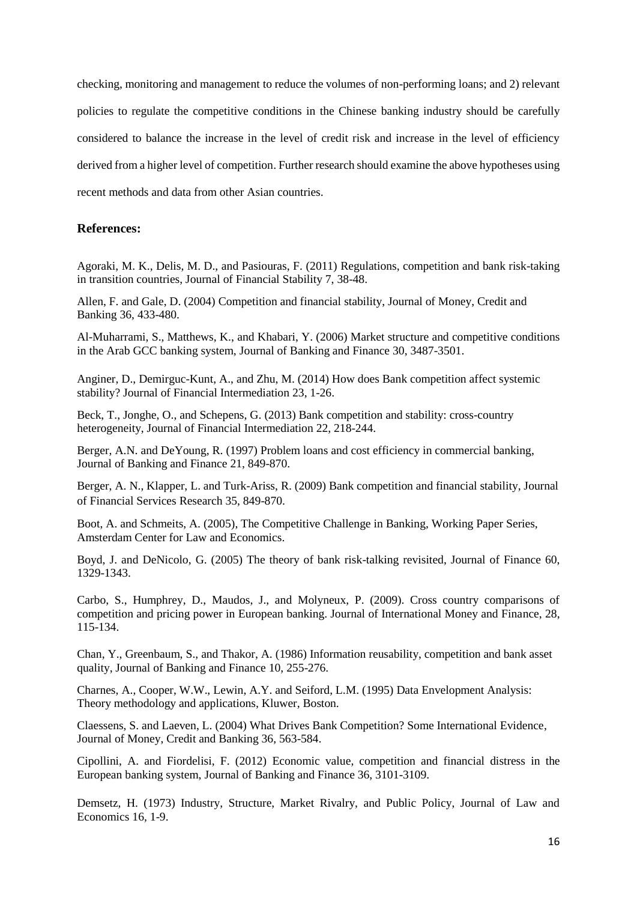checking, monitoring and management to reduce the volumes of non-performing loans; and 2) relevant policies to regulate the competitive conditions in the Chinese banking industry should be carefully considered to balance the increase in the level of credit risk and increase in the level of efficiency derived from a higher level of competition. Further research should examine the above hypotheses using recent methods and data from other Asian countries.

#### **References:**

Agoraki, M. K., Delis, M. D., and Pasiouras, F. (2011) Regulations, competition and bank risk-taking in transition countries, Journal of Financial Stability 7, 38-48.

Allen, F. and Gale, D. (2004) Competition and financial stability, Journal of Money, Credit and Banking 36, 433-480.

Al-Muharrami, S., Matthews, K., and Khabari, Y. (2006) Market structure and competitive conditions in the Arab GCC banking system, Journal of Banking and Finance 30, 3487-3501.

Anginer, D., Demirguc-Kunt, A., and Zhu, M. (2014) How does Bank competition affect systemic stability? Journal of Financial Intermediation 23, 1-26.

Beck, T., Jonghe, O., and Schepens, G. (2013) Bank competition and stability: cross-country heterogeneity, Journal of Financial Intermediation 22, 218-244.

Berger, A.N. and DeYoung, R. (1997) Problem loans and cost efficiency in commercial banking, Journal of Banking and Finance 21, 849-870.

Berger, A. N., Klapper, L. and Turk-Ariss, R. (2009) Bank competition and financial stability, Journal of Financial Services Research 35, 849-870.

Boot, A. and Schmeits, A. (2005), The Competitive Challenge in Banking, Working Paper Series, Amsterdam Center for Law and Economics.

Boyd, J. and DeNicolo, G. (2005) The theory of bank risk-talking revisited, Journal of Finance 60, 1329-1343.

Carbo, S., Humphrey, D., Maudos, J., and Molyneux, P. (2009). Cross country comparisons of competition and pricing power in European banking. Journal of International Money and Finance, 28, 115-134.

Chan, Y., Greenbaum, S., and Thakor, A. (1986) Information reusability, competition and bank asset quality, Journal of Banking and Finance 10, 255-276.

Charnes, A., Cooper, W.W., Lewin, A.Y. and Seiford, L.M. (1995) Data Envelopment Analysis: Theory methodology and applications, Kluwer, Boston.

Claessens, S. and Laeven, L. (2004) What Drives Bank Competition? Some International Evidence, Journal of Money, Credit and Banking 36, 563-584.

Cipollini, A. and Fiordelisi, F. (2012) Economic value, competition and financial distress in the European banking system, Journal of Banking and Finance 36, 3101-3109.

Demsetz, H. (1973) Industry, Structure, Market Rivalry, and Public Policy, Journal of Law and Economics 16, 1-9.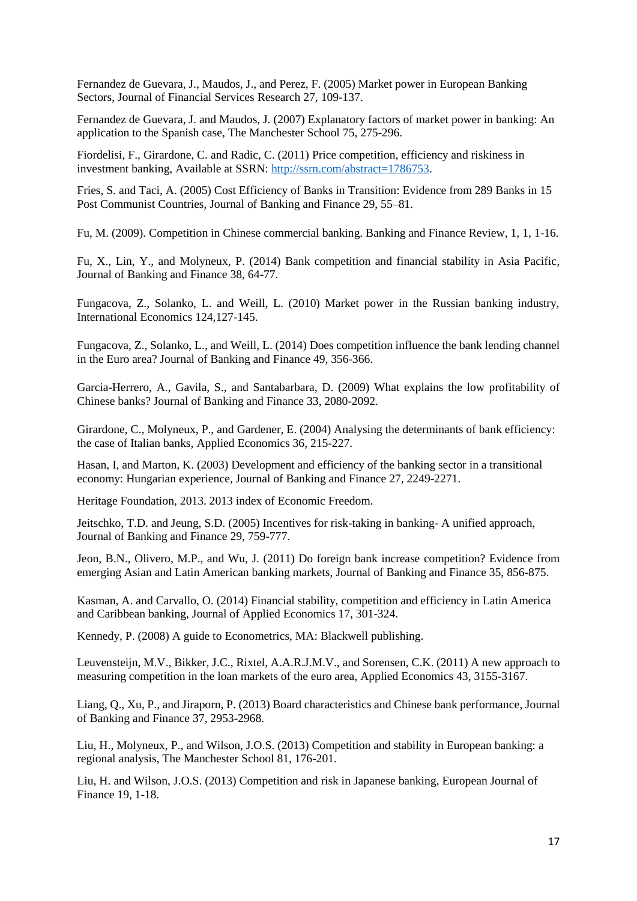Fernandez de Guevara, J., Maudos, J., and Perez, F. (2005) Market power in European Banking Sectors, Journal of Financial Services Research 27, 109-137.

Fernandez de Guevara, J. and Maudos, J. (2007) Explanatory factors of market power in banking: An application to the Spanish case, The Manchester School 75, 275-296.

Fiordelisi, F., Girardone, C. and Radic, C. (2011) Price competition, efficiency and riskiness in investment banking, Available at SSRN: [http://ssrn.com/abstract=1786753.](http://ssrn.com/abstract=1786753)

Fries, S. and Taci, A. (2005) Cost Efficiency of Banks in Transition: Evidence from 289 Banks in 15 Post Communist Countries, Journal of Banking and Finance 29, 55–81.

Fu, M. (2009). Competition in Chinese commercial banking. Banking and Finance Review, 1, 1, 1-16.

Fu, X., Lin, Y., and Molyneux, P. (2014) Bank competition and financial stability in Asia Pacific, Journal of Banking and Finance 38, 64-77.

Fungacova, Z., Solanko, L. and Weill, L. (2010) Market power in the Russian banking industry, International Economics 124,127-145.

Fungacova, Z., Solanko, L., and Weill, L. (2014) Does competition influence the bank lending channel in the Euro area? Journal of Banking and Finance 49, 356-366.

Garcia-Herrero, A., Gavila, S., and Santabarbara, D. (2009) What explains the low profitability of Chinese banks? Journal of Banking and Finance 33, 2080-2092.

Girardone, C., Molyneux, P., and Gardener, E. (2004) Analysing the determinants of bank efficiency: the case of Italian banks, Applied Economics 36, 215-227.

Hasan, I, and Marton, K. (2003) Development and efficiency of the banking sector in a transitional economy: Hungarian experience, Journal of Banking and Finance 27, 2249-2271.

Heritage Foundation, 2013. 2013 index of Economic Freedom.

Jeitschko, T.D. and Jeung, S.D. (2005) Incentives for risk-taking in banking- A unified approach, Journal of Banking and Finance 29, 759-777.

Jeon, B.N., Olivero, M.P., and Wu, J. (2011) Do foreign bank increase competition? Evidence from emerging Asian and Latin American banking markets, Journal of Banking and Finance 35, 856-875.

Kasman, A. and Carvallo, O. (2014) Financial stability, competition and efficiency in Latin America and Caribbean banking, Journal of Applied Economics 17, 301-324.

Kennedy, P. (2008) A guide to Econometrics, MA: Blackwell publishing.

Leuvensteijn, M.V., Bikker, J.C., Rixtel, A.A.R.J.M.V., and Sorensen, C.K. (2011) A new approach to measuring competition in the loan markets of the euro area, Applied Economics 43, 3155-3167.

Liang, Q., Xu, P., and Jiraporn, P. (2013) Board characteristics and Chinese bank performance, Journal of Banking and Finance 37, 2953-2968.

Liu, H., Molyneux, P., and Wilson, J.O.S. (2013) Competition and stability in European banking: a regional analysis, The Manchester School 81, 176-201.

Liu, H. and Wilson, J.O.S. (2013) Competition and risk in Japanese banking, European Journal of Finance 19, 1-18.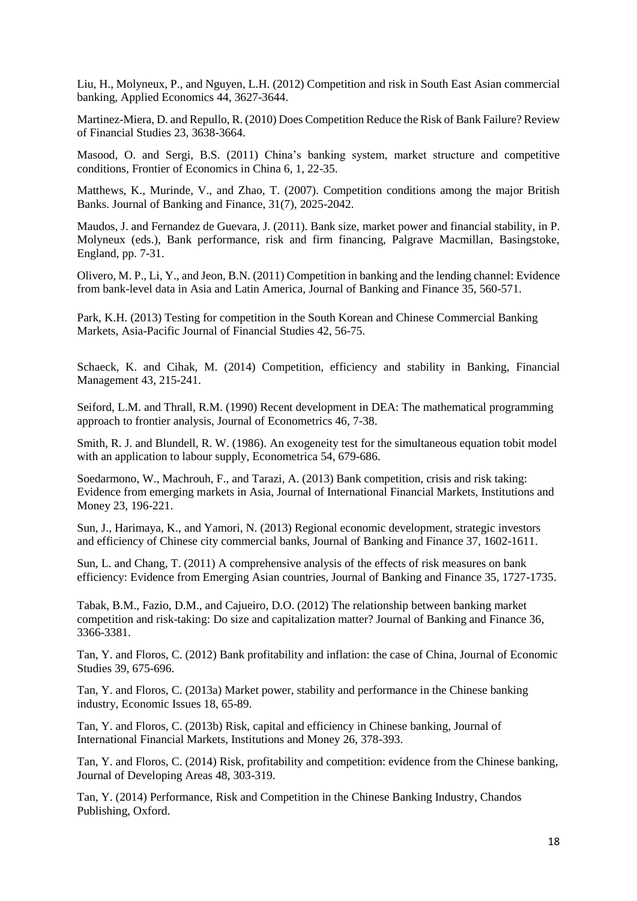Liu, H., Molyneux, P., and Nguyen, L.H. (2012) Competition and risk in South East Asian commercial banking, Applied Economics 44, 3627-3644.

Martinez-Miera, D. and Repullo, R. (2010) Does Competition Reduce the Risk of Bank Failure? Review of Financial Studies 23, 3638-3664.

Masood, O. and Sergi, B.S. (2011) China's banking system, market structure and competitive conditions, Frontier of Economics in China 6, 1, 22-35.

Matthews, K., Murinde, V., and Zhao, T. (2007). Competition conditions among the major British Banks. Journal of Banking and Finance, 31(7), 2025-2042.

Maudos, J. and Fernandez de Guevara, J. (2011). Bank size, market power and financial stability, in P. Molyneux (eds.), Bank performance, risk and firm financing, Palgrave Macmillan, Basingstoke, England, pp. 7-31.

Olivero, M. P., Li, Y., and Jeon, B.N. (2011) Competition in banking and the lending channel: Evidence from bank-level data in Asia and Latin America, Journal of Banking and Finance 35, 560-571.

Park, K.H. (2013) Testing for competition in the South Korean and Chinese Commercial Banking Markets, Asia-Pacific Journal of Financial Studies 42, 56-75.

Schaeck, K. and Cihak, M. (2014) Competition, efficiency and stability in Banking, Financial Management 43, 215-241.

Seiford, L.M. and Thrall, R.M. (1990) Recent development in DEA: The mathematical programming approach to frontier analysis, Journal of Econometrics 46, 7-38.

Smith, R. J. and Blundell, R. W. (1986). An exogeneity test for the simultaneous equation tobit model with an application to labour supply, Econometrica 54, 679-686.

Soedarmono, W., Machrouh, F., and Tarazi, A. (2013) Bank competition, crisis and risk taking: Evidence from emerging markets in Asia, Journal of International Financial Markets, Institutions and Money 23, 196-221.

Sun, J., Harimaya, K., and Yamori, N. (2013) Regional economic development, strategic investors and efficiency of Chinese city commercial banks, Journal of Banking and Finance 37, 1602-1611.

Sun, L. and Chang, T. (2011) A comprehensive analysis of the effects of risk measures on bank efficiency: Evidence from Emerging Asian countries, Journal of Banking and Finance 35, 1727-1735.

Tabak, B.M., Fazio, D.M., and Cajueiro, D.O. (2012) The relationship between banking market competition and risk-taking: Do size and capitalization matter? Journal of Banking and Finance 36, 3366-3381.

Tan, Y. and Floros, C. (2012) Bank profitability and inflation: the case of China, Journal of Economic Studies 39, 675-696.

Tan, Y. and Floros, C. (2013a) Market power, stability and performance in the Chinese banking industry, Economic Issues 18, 65-89.

Tan, Y. and Floros, C. (2013b) Risk, capital and efficiency in Chinese banking, Journal of International Financial Markets, Institutions and Money 26, 378-393.

Tan, Y. and Floros, C. (2014) Risk, profitability and competition: evidence from the Chinese banking, Journal of Developing Areas 48, 303-319.

Tan, Y. (2014) Performance, Risk and Competition in the Chinese Banking Industry, Chandos Publishing, Oxford.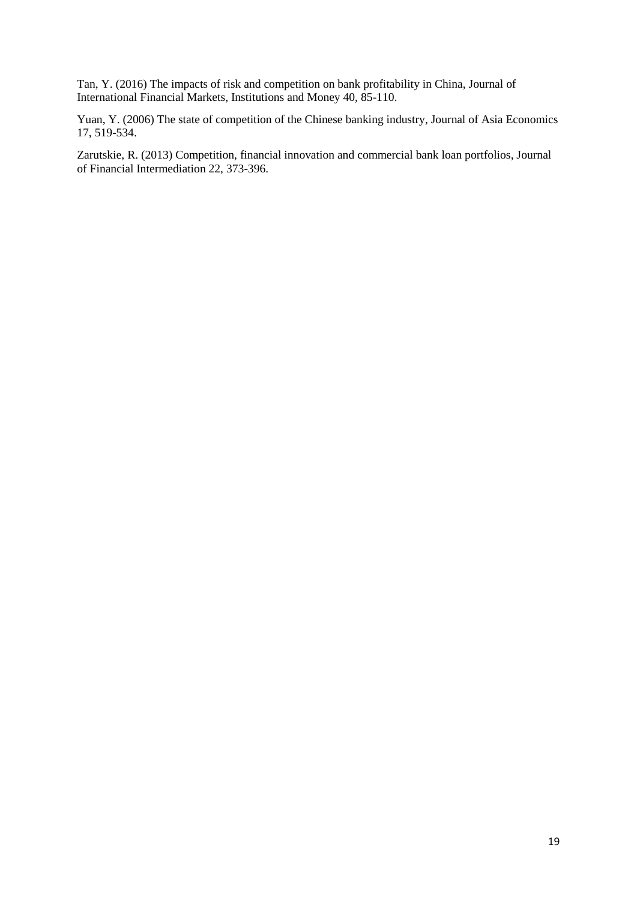Tan, Y. (2016) The impacts of risk and competition on bank profitability in China, Journal of International Financial Markets, Institutions and Money 40, 85-110.

Yuan, Y. (2006) The state of competition of the Chinese banking industry, Journal of Asia Economics 17, 519-534.

Zarutskie, R. (2013) Competition, financial innovation and commercial bank loan portfolios, Journal of Financial Intermediation 22, 373-396.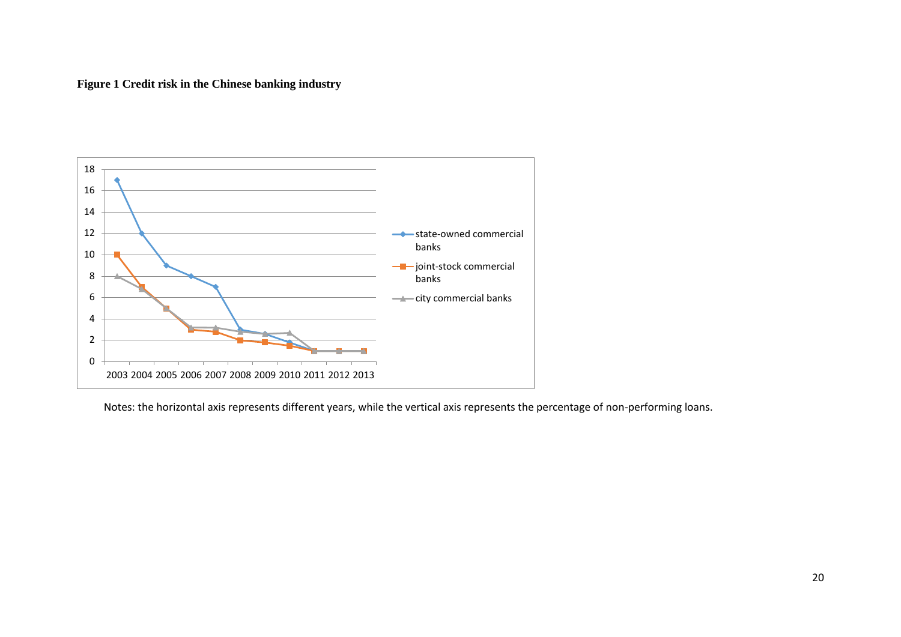**Figure 1 Credit risk in the Chinese banking industry**



Notes: the horizontal axis represents different years, while the vertical axis represents the percentage of non-performing loans.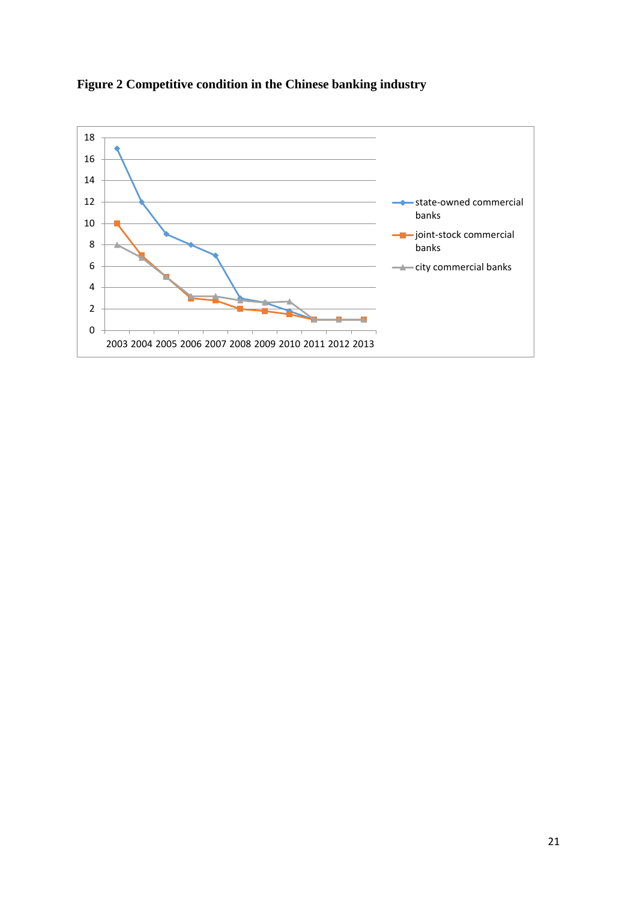

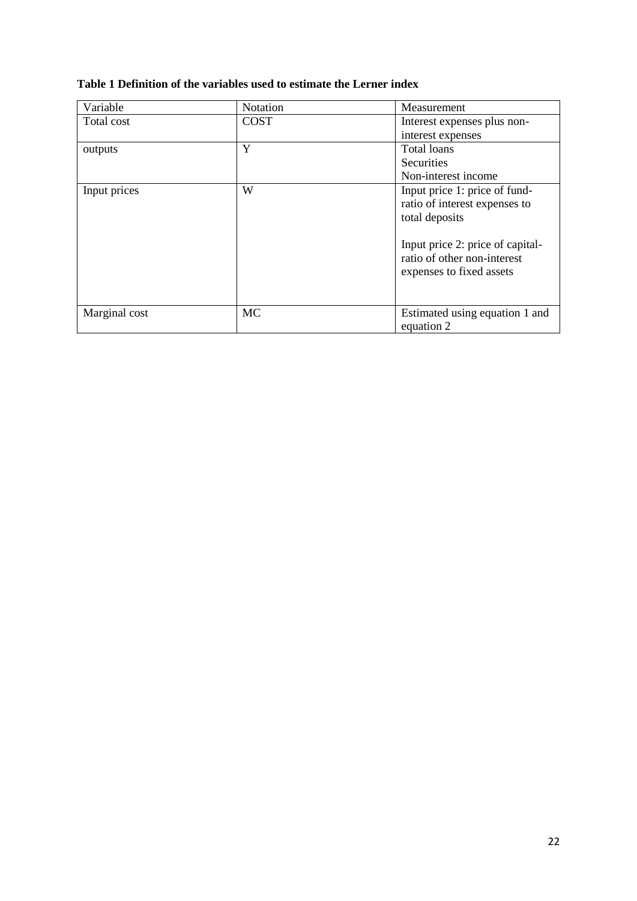### **Table 1 Definition of the variables used to estimate the Lerner index**

| Variable      | Notation    | Measurement                                                                                 |
|---------------|-------------|---------------------------------------------------------------------------------------------|
| Total cost    | <b>COST</b> | Interest expenses plus non-                                                                 |
|               |             | interest expenses                                                                           |
| outputs       | Y           | Total loans                                                                                 |
|               |             | Securities                                                                                  |
|               |             | Non-interest income                                                                         |
| Input prices  | W           | Input price 1: price of fund-                                                               |
|               |             | ratio of interest expenses to                                                               |
|               |             | total deposits                                                                              |
|               |             | Input price 2: price of capital-<br>ratio of other non-interest<br>expenses to fixed assets |
| Marginal cost | <b>MC</b>   | Estimated using equation 1 and<br>equation 2                                                |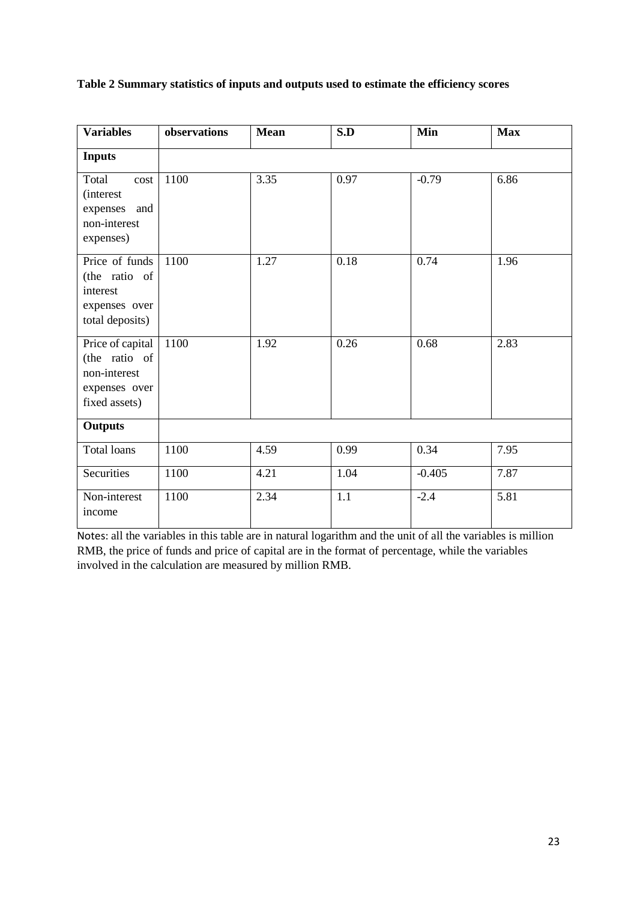|  | Table 2 Summary statistics of inputs and outputs used to estimate the efficiency scores |  |
|--|-----------------------------------------------------------------------------------------|--|
|  |                                                                                         |  |

| <b>Variables</b>                                                                    | observations | <b>Mean</b> | S.D  | Min      | <b>Max</b> |
|-------------------------------------------------------------------------------------|--------------|-------------|------|----------|------------|
| <b>Inputs</b>                                                                       |              |             |      |          |            |
| Total<br>cost<br><i>(interest)</i><br>and<br>expenses<br>non-interest<br>expenses)  | 1100         | 3.35        | 0.97 | $-0.79$  | 6.86       |
| Price of funds<br>(the ratio of<br>interest<br>expenses over<br>total deposits)     | 1100         | 1.27        | 0.18 | 0.74     | 1.96       |
| Price of capital<br>(the ratio of<br>non-interest<br>expenses over<br>fixed assets) | 1100         | 1.92        | 0.26 | 0.68     | 2.83       |
| <b>Outputs</b>                                                                      |              |             |      |          |            |
| <b>Total loans</b>                                                                  | 1100         | 4.59        | 0.99 | 0.34     | 7.95       |
| Securities                                                                          | 1100         | 4.21        | 1.04 | $-0.405$ | 7.87       |
| Non-interest<br>income                                                              | 1100         | 2.34        | 1.1  | $-2.4$   | 5.81       |

Notes: all the variables in this table are in natural logarithm and the unit of all the variables is million RMB, the price of funds and price of capital are in the format of percentage, while the variables involved in the calculation are measured by million RMB.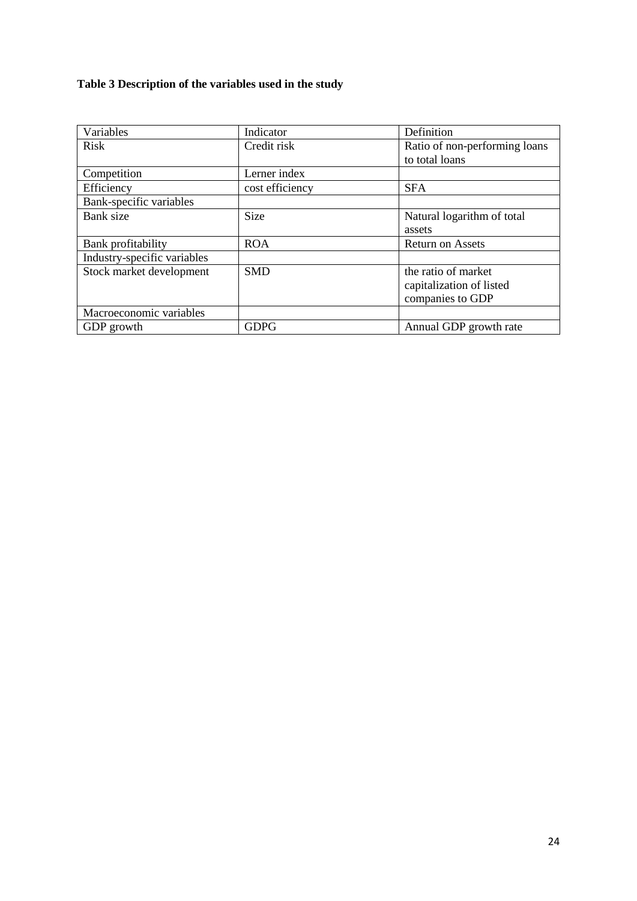# **Table 3 Description of the variables used in the study**

| Variables                   | Indicator       | Definition                    |
|-----------------------------|-----------------|-------------------------------|
| <b>Risk</b>                 | Credit risk     | Ratio of non-performing loans |
|                             |                 | to total loans                |
| Competition                 | Lerner index    |                               |
| Efficiency                  | cost efficiency | <b>SFA</b>                    |
| Bank-specific variables     |                 |                               |
| Bank size                   | <b>Size</b>     | Natural logarithm of total    |
|                             |                 | assets                        |
| Bank profitability          | <b>ROA</b>      | <b>Return on Assets</b>       |
| Industry-specific variables |                 |                               |
| Stock market development    | <b>SMD</b>      | the ratio of market           |
|                             |                 | capitalization of listed      |
|                             |                 | companies to GDP              |
| Macroeconomic variables     |                 |                               |
| GDP growth                  | <b>GDPG</b>     | Annual GDP growth rate        |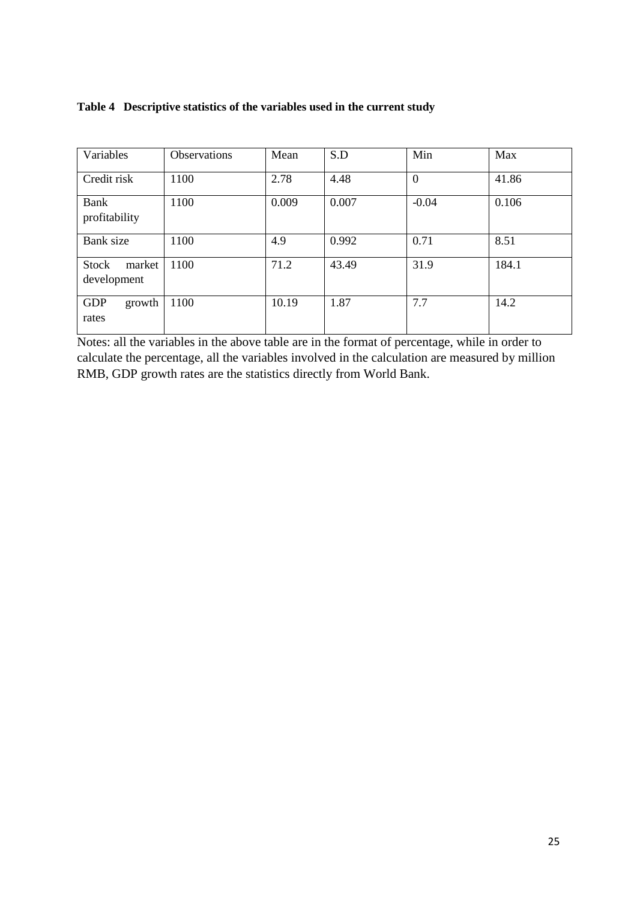| Variables                             | <b>Observations</b> | Mean  | S.D   | Min      | Max   |
|---------------------------------------|---------------------|-------|-------|----------|-------|
| Credit risk                           | 1100                | 2.78  | 4.48  | $\theta$ | 41.86 |
| Bank<br>profitability                 | 1100                | 0.009 | 0.007 | $-0.04$  | 0.106 |
| Bank size                             | 1100                | 4.9   | 0.992 | 0.71     | 8.51  |
| <b>Stock</b><br>market<br>development | 1100                | 71.2  | 43.49 | 31.9     | 184.1 |
| <b>GDP</b><br>growth<br>rates         | 1100                | 10.19 | 1.87  | 7.7      | 14.2  |

### **Table 4 Descriptive statistics of the variables used in the current study**

Notes: all the variables in the above table are in the format of percentage, while in order to calculate the percentage, all the variables involved in the calculation are measured by million RMB, GDP growth rates are the statistics directly from World Bank.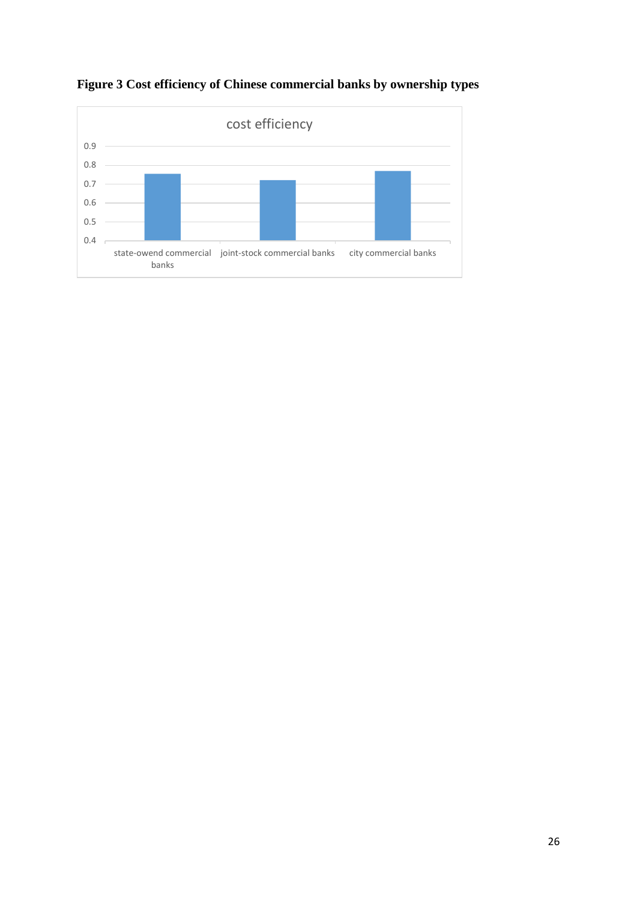

**Figure 3 Cost efficiency of Chinese commercial banks by ownership types**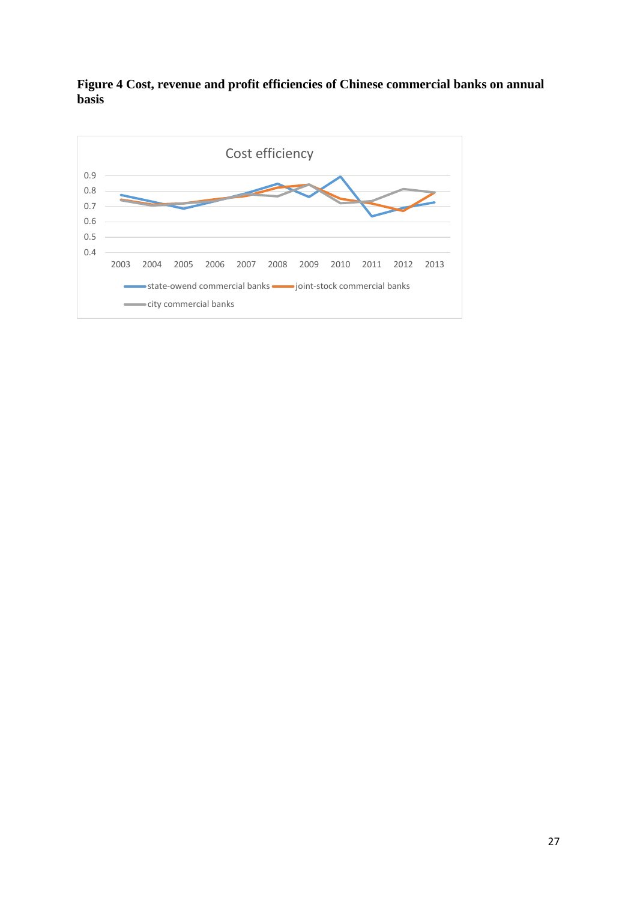### **Figure 4 Cost, revenue and profit efficiencies of Chinese commercial banks on annual basis**

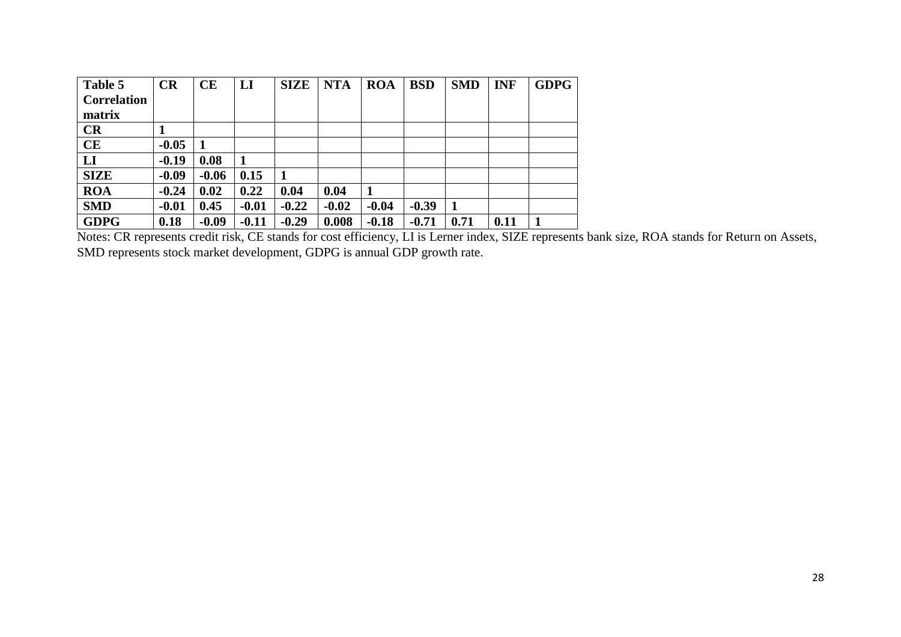| Table 5                | CR      | CE      | $\mathbf{L}\mathbf{I}$ | <b>SIZE</b> | <b>NTA</b> | <b>ROA</b> | <b>BSD</b> | <b>SMD</b> | <b>INF</b> | <b>GDPG</b> |
|------------------------|---------|---------|------------------------|-------------|------------|------------|------------|------------|------------|-------------|
| <b>Correlation</b>     |         |         |                        |             |            |            |            |            |            |             |
| matrix                 |         |         |                        |             |            |            |            |            |            |             |
| CR                     |         |         |                        |             |            |            |            |            |            |             |
| CE                     | $-0.05$ |         |                        |             |            |            |            |            |            |             |
| $\mathbf{L}\mathbf{I}$ | $-0.19$ | 0.08    |                        |             |            |            |            |            |            |             |
| <b>SIZE</b>            | $-0.09$ | $-0.06$ | 0.15                   |             |            |            |            |            |            |             |
| <b>ROA</b>             | $-0.24$ | 0.02    | 0.22                   | 0.04        | 0.04       |            |            |            |            |             |
| <b>SMD</b>             | $-0.01$ | 0.45    | $-0.01$                | $-0.22$     | $-0.02$    | $-0.04$    | $-0.39$    | 1          |            |             |
| <b>GDPG</b>            | 0.18    | $-0.09$ | $-0.11$                | $-0.29$     | 0.008      | $-0.18$    | $-0.71$    | 0.71       | 0.11       |             |

Notes: CR represents credit risk, CE stands for cost efficiency, LI is Lerner index, SIZE represents bank size, ROA stands for Return on Assets, SMD represents stock market development, GDPG is annual GDP growth rate.